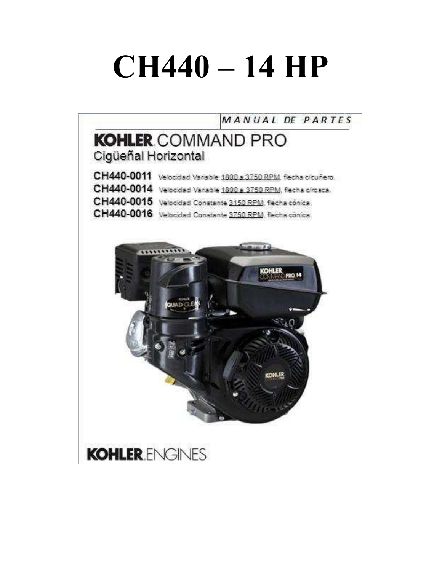# **CH440 – 14 HP**

MANUAL DE PARTES

# **KOHLER COMMAND PRO** Cigüeñal Horizontal

| CH440-0011 Velocidad Variable 1800 a 3750 RPM, flecha olcuñero. |
|-----------------------------------------------------------------|
| CH440-0014 Velocidad Variable 1800 a 3750 RPM, flecha cirosca.  |
| CH440-0015 Velocidad Constante 3150 RPM, flecha cónica.         |
| CH440-0016 Velocidad Constante 3750 RPM, flecha cónica.         |



# **KOHLER** ENGINES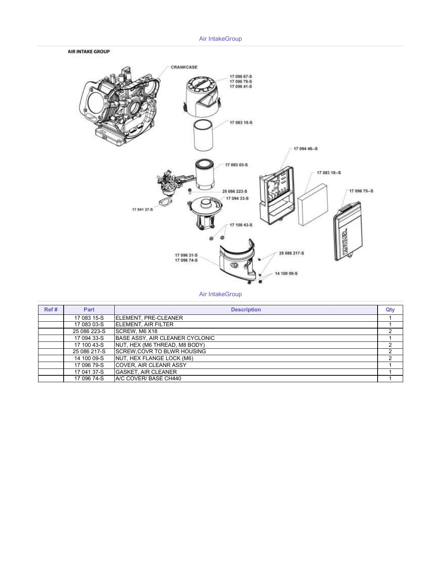## Air IntakeGroup





## Air IntakeGroup

| Ref# | Part         | <b>Description</b>                 | Qty |
|------|--------------|------------------------------------|-----|
|      | 17 083 15-S  | ELEMENT, PRE-CLEANER               |     |
|      | 17 083 03-S  | <b>IELEMENT. AIR FILTER</b>        |     |
|      | 25 086 223-S | SCREW. M6 X18                      |     |
|      | 17 094 33-S  | BASE ASSY, AIR CLEANER CYCLONIC    |     |
|      | 17 100 43-S  | NUT, HEX (M6 THREAD, M8 BODY)      |     |
|      | 25 086 217-S | <b>SCREW, COVR TO BLWR HOUSING</b> | ◠   |
|      | 14 100 09-S  | NUT, HEX FLANGE LOCK (M6)          | 2   |
|      | 17 096 79-S  | <b>COVER, AIR CLEANR ASSY</b>      |     |
|      | 17 041 37-S  | <b>GASKET, AIR CLEANER</b>         |     |
|      | 17 096 74-S  | A/C COVER/ BASE CH440              |     |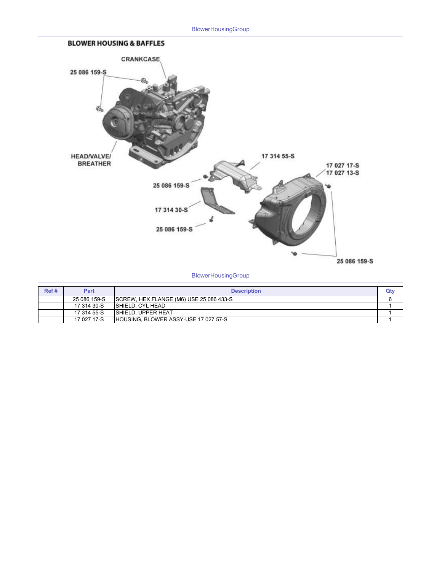

**BlowerHousingGroup** 

| Ref# | Part         | <b>Description</b>                      | Qt۱ |
|------|--------------|-----------------------------------------|-----|
|      | 25 086 159-S | SCREW, HEX FLANGE (M6) USE 25 086 433-S |     |
|      | 17 314 30-S  | ISHIELD, CYL HEAD                       |     |
|      | 17 314 55-S  | <b>ISHIELD, UPPER HEAT</b>              |     |
|      | 17 027 17-S  | HOUSING, BLOWER ASSY-USE 17 027 57-S    |     |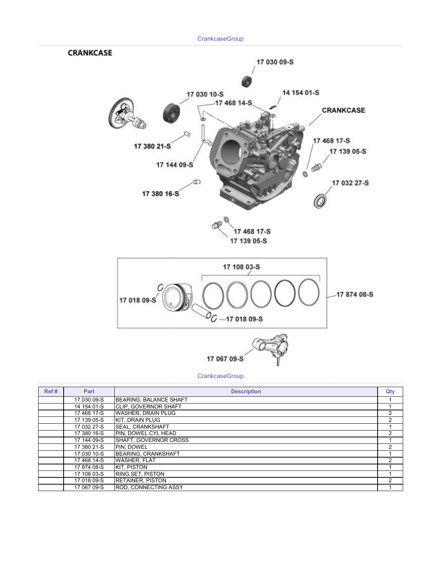

|             | ----------                    | -- |
|-------------|-------------------------------|----|
| 17 030 09-S | <b>BEARING, BALANCE SHAFT</b> |    |
| 14 154 01-S | <b>ICLIP. GOVERNOR SHAFT</b>  |    |
| 17 468 17-S | <b>WASHER, DRAIN PLUG</b>     | 2  |
| 17 139 05-S | <b>KIT. DRAIN PLUG</b>        | 2  |
| 17 032 27-S | <b>ISEAL. CRANKSHAFT</b>      |    |
| 17 380 16-S | <b>PIN. DOWEL CYL HEAD</b>    | 2  |
| 17 144 09-S | SHAFT, GOVERNOR CROSS         |    |
| 17 380 21-S | PIN, DOWEL                    | 2  |
| 17 030 10-S | <b>BEARING, CRANKSHAFT</b>    |    |
| 17 468 14-S | <b>WASHER, FLAT</b>           | 2  |
| 17 874 08-S | <b>KIT. PISTON</b>            |    |
| 17 108 03-S | <b>RING SET, PISTON</b>       |    |
| 17 018 09-S | <b>RETAINER, PISTON</b>       | 2  |
| 17 067 09-S | <b>ROD. CONNECTING ASSY</b>   |    |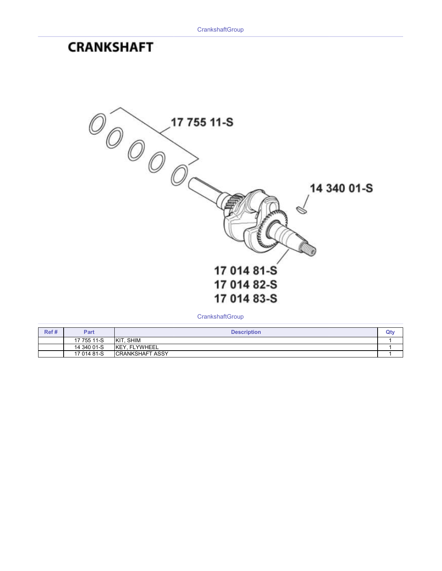# **CRANKSHAFT**



**CrankshaftGroup** 

| Ref# | Part        | <b>Description</b>      | Qt۱ |
|------|-------------|-------------------------|-----|
|      | 17 755 11-S | SHIM<br>KIT             |     |
|      | 14 340 01-S | <b>IKEY. FLYWHEEL</b>   |     |
|      | 17 014 81-S | <b>ICRANKSHAFT ASSY</b> |     |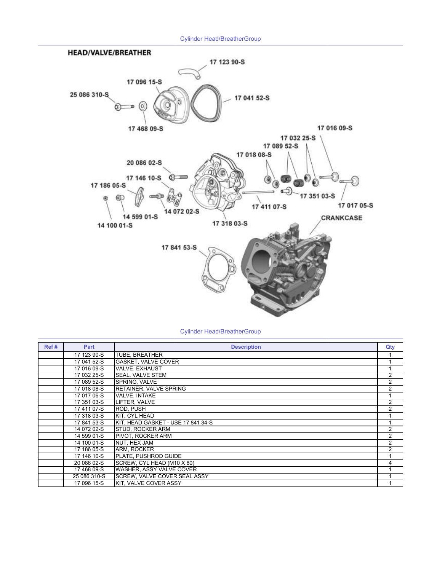Cylinder Head/BreatherGroup



| Ref# | Part         | <b>Description</b>                 | Qty            |
|------|--------------|------------------------------------|----------------|
|      | 17 123 90-S  | TUBE, BREATHER                     |                |
|      | 17 041 52-S  | <b>GASKET, VALVE COVER</b>         |                |
|      | 17 016 09-S  | <b>VALVE, EXHAUST</b>              |                |
|      | 17 032 25-S  | <b>SEAL, VALVE STEM</b>            | $\overline{2}$ |
|      | 17 089 52-S  | SPRING. VALVE                      | $\overline{c}$ |
|      | 17 018 08-S  | RETAINER, VALVE SPRING             | $\overline{2}$ |
|      | 17 017 06-S  | <b>VALVE. INTAKE</b>               |                |
|      | 17 351 03-S  | LIFTER. VALVE                      | 2              |
|      | 17 411 07-S  | ROD. PUSH                          | $\overline{2}$ |
|      | 17 318 03-S  | KIT. CYL HEAD                      |                |
|      | 17 841 53-S  | KIT. HEAD GASKET - USE 17 841 34-S |                |
|      | 14 072 02-S  | STUD, ROCKER ARM                   | $\overline{2}$ |
|      | 14 599 01-S  | PIVOT, ROCKER ARM                  | 2              |
|      | 14 100 01-S  | NUT, HEX JAM                       | 2              |
|      | 17 186 05-S  | ARM. ROCKER                        | 2              |
|      | 17 146 10-S  | PLATE. PUSHROD GUIDE               |                |
|      | 20 086 02-S  | SCREW, CYL HEAD (M10 X 80)         | 4              |
|      | 17 468 09-S  | WASHER, ASSY VALVE COVER           |                |
|      | 25 086 310-S | SCREW, VALVE COVER SEAL ASSY       |                |
|      | 17 096 15-S  | KIT, VALVE COVER ASSY              |                |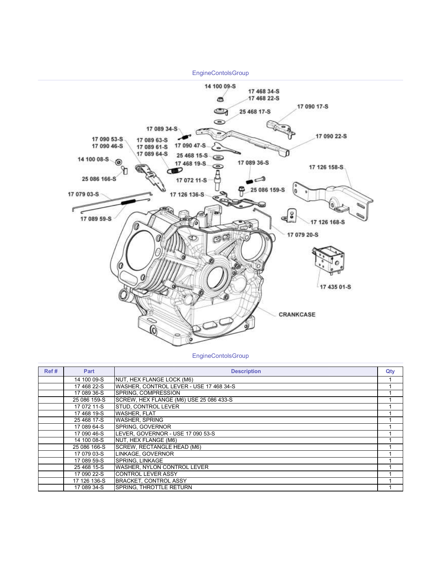

#### **EngineContolsGroup**

| Ref# | Part         | <b>Description</b>                      | Qty |
|------|--------------|-----------------------------------------|-----|
|      | 14 100 09-S  | NUT. HEX FLANGE LOCK (M6)               |     |
|      | 17 468 22-S  | WASHER, CONTROL LEVER - USE 17 468 34-S |     |
|      | 17 089 36-S  | SPRING. COMPRESSION                     |     |
|      | 25 086 159-S | SCREW, HEX FLANGE (M6) USE 25 086 433-S |     |
|      | 17 072 11-S  | STUD, CONTROL LEVER                     |     |
|      | 17 468 19-S  | <b>WASHER, FLAT</b>                     |     |
|      | 25 468 17-S  | <b>WASHER, SPRING</b>                   |     |
|      | 17 089 64-S  | <b>SPRING. GOVERNOR</b>                 |     |
|      | 17 090 46-S  | LEVER, GOVERNOR - USE 17 090 53-S       |     |
|      | 14 100 08-S  | NUT, HEX FLANGE (M6)                    |     |
|      | 25 086 166-S | SCREW, RECTANGLE HEAD (M6)              |     |
|      | 17 079 03-S  | LINKAGE. GOVERNOR                       |     |
|      | 17 089 59-S  | <b>SPRING, LINKAGE</b>                  |     |
|      | 25 468 15-S  | <b>WASHER, NYLON CONTROL LEVER</b>      |     |
|      | 17 090 22-S  | <b>CONTROL LEVER ASSY</b>               |     |
|      | 17 126 136-S | <b>BRACKET, CONTROL ASSY</b>            |     |
|      | 17 089 34-S  | SPRING, THROTTLE RETURN                 |     |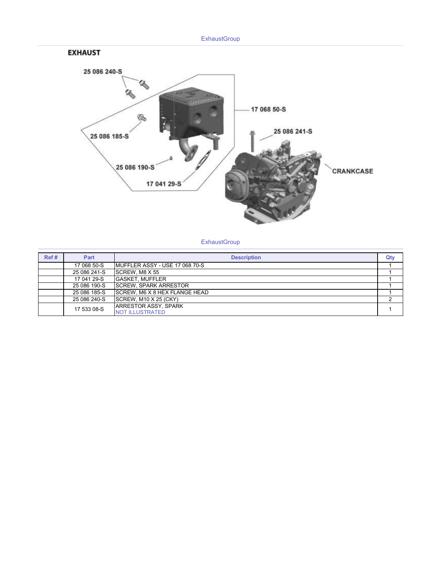





**ExhaustGroup** 

| Ref# | Part         | <b>Description</b>                                     | Qty |
|------|--------------|--------------------------------------------------------|-----|
|      | 17 068 50-S  | MUFFLER ASSY - USE 17 068 70-S                         |     |
|      | 25 086 241-S | <b>SCREW. M8 X 55</b>                                  |     |
|      | 17 041 29-S  | <b>GASKET, MUFFLER</b>                                 |     |
|      | 25 086 190-S | <b>ISCREW. SPARK ARRESTOR</b>                          |     |
|      | 25 086 185-S | SCREW, M6 X 8 HEX FLANGE HEAD                          |     |
|      | 25 086 240-S | SCREW. M10 X 25 (CKY)                                  |     |
|      | 17 533 08-S  | <b>JARRESTOR ASSY, SPARK</b><br><b>NOT ILLUSTRATED</b> |     |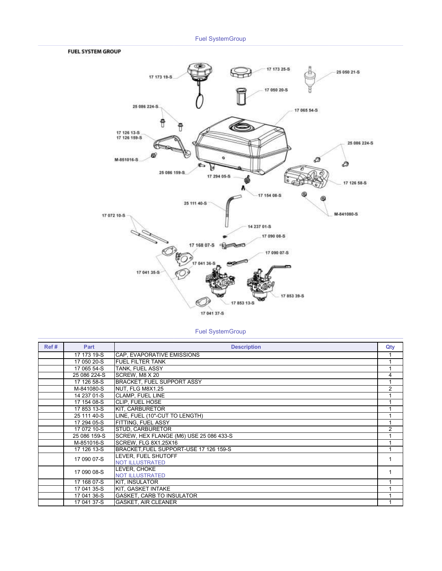## Fuel SystemGroup

#### **FUEL SYSTEM GROUP**



## Fuel SystemGroup

| Ref# | Part         | <b>Description</b>                      | Qty            |
|------|--------------|-----------------------------------------|----------------|
|      | 17 173 19-S  | CAP. EVAPORATIVE EMISSIONS              |                |
|      | 17 050 20-S  | <b>FUEL FILTER TANK</b>                 |                |
|      | 17 065 54-S  | <b>TANK. FUEL ASSY</b>                  |                |
|      | 25 086 224-S | SCREW, M8 X 20                          | 4              |
|      | 17 126 58-S  | <b>BRACKET. FUEL SUPPORT ASSY</b>       |                |
|      | M-841080-S   | NUT. FLG M8X1.25                        | $\overline{2}$ |
|      | 14 237 01-S  | <b>CLAMP, FUEL LINE</b>                 |                |
|      | 17 154 08-S  | <b>CLIP. FUEL HOSE</b>                  |                |
|      | 17 853 13-S  | KIT, CARBURETOR                         |                |
|      | 25 111 40-S  | LINE. FUEL (10"-CUT TO LENGTH)          |                |
|      | 17 294 05-S  | FITTING, FUEL ASSY                      |                |
|      | 17 072 10-S  | <b>STUD, CARBURETOR</b>                 | $\mathfrak{p}$ |
|      | 25 086 159-S | SCREW, HEX FLANGE (M6) USE 25 086 433-S |                |
|      | M-851016-S   | SCREW. FLG 8X1.25X16                    |                |
|      | 17 126 13-S  | BRACKET.FUEL SUPPORT-USE 17 126 159-S   |                |
|      | 17 090 07-S  | LEVER. FUEL SHUTOFF                     |                |
|      |              | <b>NOT ILLUSTRATED</b>                  |                |
|      | 17 090 08-S  | LEVER. CHOKE                            |                |
|      |              | <b>NOT ILLUSTRATED</b>                  |                |
|      | 17 168 07-S  | <b>KIT. INSULATOR</b>                   |                |
|      | 17 041 35-S  | KIT, GASKET INTAKE                      |                |
|      | 17 041 36-S  | <b>GASKET, CARB TO INSULATOR</b>        |                |
|      | 17 041 37-S  | <b>GASKET, AIR CLEANER</b>              |                |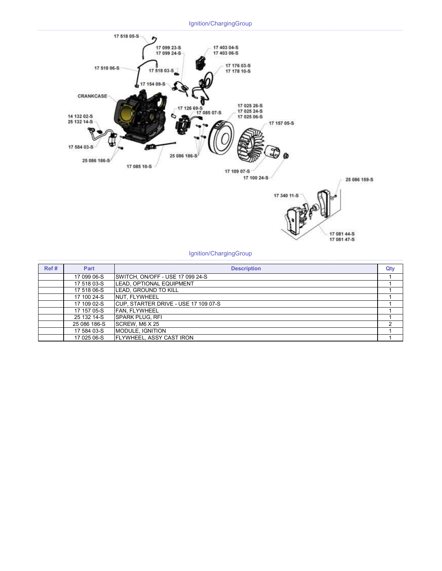

#### Ignition/ChargingGroup

| Ref# | Part         | <b>Description</b>                    | Qty |
|------|--------------|---------------------------------------|-----|
|      | 17 099 06-S  | SWITCH, ON/OFF - USE 17 099 24-S      |     |
|      | 17 518 03-S  | LEAD, OPTIONAL EQUIPMENT              |     |
|      | 17 518 06-S  | <b>LEAD. GROUND TO KILL</b>           |     |
|      | 17 100 24-S  | <b>INUT. FLYWHEEL</b>                 |     |
|      | 17 109 02-S  | ICUP. STARTER DRIVE - USE 17 109 07-S |     |
|      | 17 157 05-S  | <b>FAN. FLYWHEEL</b>                  |     |
|      | 25 132 14-S  | ISPARK PLUG. RFI                      |     |
|      | 25 086 186-S | SCREW. M6 X 25                        | ົ   |
|      | 17 584 03-S  | <b>MODULE, IGNITION</b>               |     |
|      | 17 025 06-S  | FLYWHEEL, ASSY CAST IRON              |     |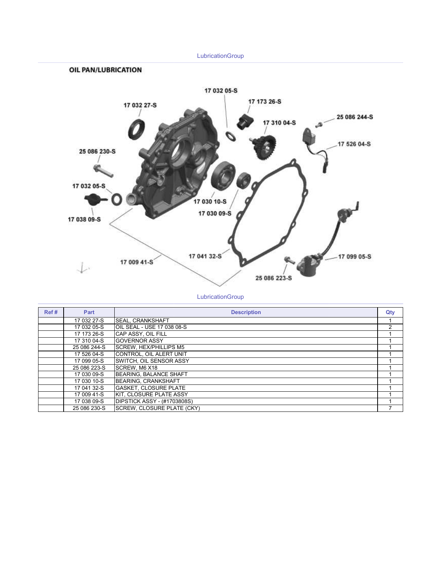

**LubricationGroup** 

| Ref# | Part         | <b>Description</b>                  | Qty |
|------|--------------|-------------------------------------|-----|
|      | 17 032 27-S  | <b>SEAL, CRANKSHAFT</b>             |     |
|      | 17 032 05-S  | IOIL SEAL - USE 17 038 08-S         | 2   |
|      | 17 173 26-S  | CAP ASSY, OIL FILL                  |     |
|      | 17 310 04-S  | <b>IGOVERNOR ASSY</b>               |     |
|      | 25 086 244-S | <b>ISCREW. HEX/PHILLIPS M5</b>      |     |
|      | 17 526 04-S  | CONTROL, OIL ALERT UNIT             |     |
|      | 17 099 05-S  | ISWITCH. OIL SENSOR ASSY            |     |
|      | 25 086 223-S | <b>ISCREW. M6 X18</b>               |     |
|      | 17 030 09-S  | BEARING, BALANCE SHAFT              |     |
|      | 17 030 10-S  | BEARING, CRANKSHAFT                 |     |
|      | 17 041 32-S  | IGASKET. CLOSURE PLATE              |     |
|      | 17 009 41-S  | KIT, CLOSURE PLATE ASSY             |     |
|      | 17 038 09-S  | <b>IDIPSTICK ASSY - (#1703808S)</b> |     |
|      | 25 086 230-S | <b>SCREW. CLOSURE PLATE (CKY)</b>   |     |